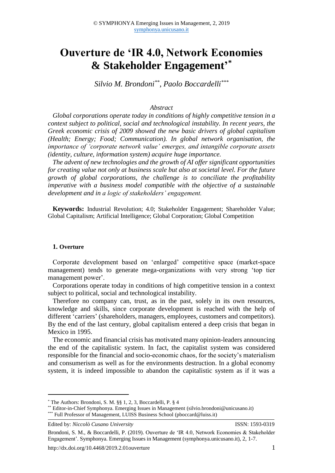# **Ouverture de 'IR 4.0, Network Economies & Stakeholder Engagement' \***

*Silvio M. Brondoni\*\*, Paolo Boccardelli\*\*\**

## *Abstract*

*Global corporations operate today in conditions of highly competitive tension in a context subject to political, social and technological instability. In recent years, the Greek economic crisis of 2009 showed the new basic drivers of global capitalism (Health; Energy; Food; Communication). In global network organisation, the importance of 'corporate network value' emerges, and intangible corporate assets (identity, culture, information system) acquire huge importance.* 

*The advent of new technologies and the growth of AI offer significant opportunities for creating value not only at business scale but also at societal level. For the future growth of global corporations, the challenge is to conciliate the profitability imperative with a business model compatible with the objective of a sustainable development and in a logic of stakeholders' engagement.* 

**Keywords:** Industrial Revolution; 4.0; Stakeholder Engagement; Shareholder Value; Global Capitalism; Artificial Intelligence; Global Corporation; Global Competition

#### **1. Overture**

Corporate development based on 'enlarged' competitive space (market-space management) tends to generate mega-organizations with very strong 'top tier management power'.

Corporations operate today in conditions of high competitive tension in a context subject to political, social and technological instability.

Therefore no company can, trust, as in the past, solely in its own resources, knowledge and skills, since corporate development is reached with the help of different 'carriers' (shareholders, managers, employees, customers and competitors). By the end of the last century, global capitalism entered a deep crisis that began in Mexico in 1995.

The economic and financial crisis has motivated many opinion-leaders announcing the end of the capitalistic system. In fact, the capitalist system was considered responsible for the financial and socio-economic chaos, for the society's materialism and consumerism as well as for the environments destruction. In a global economy system, it is indeed impossible to abandon the capitalistic system as if it was a

**.** 

Brondoni, S. M., & Boccardelli, P. (2019). Ouverture de 'IR 4.0, Network Economies & Stakeholder Engagement'. Symphonya. Emerging Issues in Management (symphonya.unicusano.it), 2, 1-7.

<sup>\*</sup> The Authors: Brondoni, S. M. §§ 1, 2, 3, Boccardelli, P. § 4

<sup>\*\*</sup> Editor-in-Chief Symphonya. Emerging Issues in Management (silvio.brondoni@unicusano.it) \*\*\* Full Professor of Management, LUISS Business School (pboccard@luiss.it)

Edited by: *Niccolò Cusano University* ISSN: 1593-0319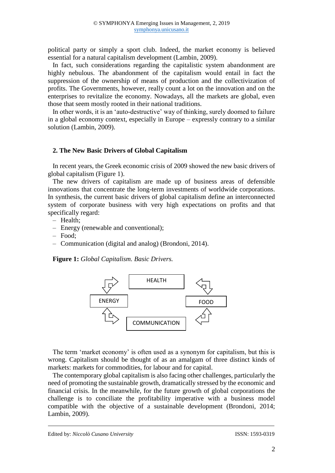political party or simply a sport club. Indeed, the market economy is believed essential for a natural capitalism development (Lambin, 2009).

In fact, such considerations regarding the capitalistic system abandonment are highly nebulous. The abandonment of the capitalism would entail in fact the suppression of the ownership of means of production and the collectivization of profits. The Governments, however, really count a lot on the innovation and on the enterprises to revitalize the economy. Nowadays, all the markets are global, even those that seem mostly rooted in their national traditions.

In other words, it is an 'auto-destructive' way of thinking, surely doomed to failure in a global economy context, especially in Europe – expressly contrary to a similar solution (Lambin, 2009).

### **2. The New Basic Drivers of Global Capitalism**

In recent years, the Greek economic crisis of 2009 showed the new basic drivers of global capitalism (Figure 1).

The new drivers of capitalism are made up of business areas of defensible innovations that concentrate the long-term investments of worldwide corporations. In synthesis, the current basic drivers of global capitalism define an interconnected system of corporate business with very high expectations on profits and that specifically regard:

- ‒ Health;
- ‒ Energy (renewable and conventional);
- ‒ Food;
- ‒ Communication (digital and analog) (Brondoni, 2014).

**Figure 1:** *Global Capitalism. Basic Drivers.*



The term 'market economy' is often used as a synonym for capitalism, but this is wrong. Capitalism should be thought of as an amalgam of three distinct kinds of markets: markets for commodities, for labour and for capital.

The contemporary global capitalism is also facing other challenges, particularly the need of promoting the sustainable growth, dramatically stressed by the economic and financial crisis. In the meanwhile, for the future growth of global corporations the challenge is to conciliate the profitability imperative with a business model compatible with the objective of a sustainable development (Brondoni, 2014; Lambin, 2009).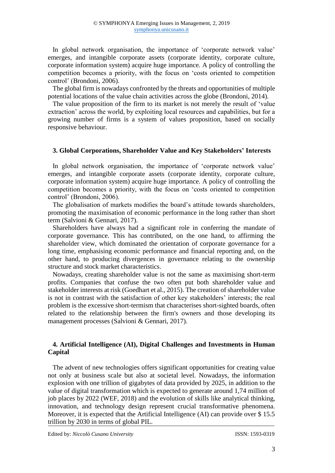In global network organisation, the importance of 'corporate network value' emerges, and intangible corporate assets (corporate identity, corporate culture, corporate information system) acquire huge importance. A policy of controlling the competition becomes a priority, with the focus on 'costs oriented to competition control' (Brondoni, 2006).

The global firm is nowadays confronted by the threats and opportunities of multiple potential locations of the value chain activities across the globe (Brondoni, 2014).

The value proposition of the firm to its market is not merely the result of 'value extraction' across the world, by exploiting local resources and capabilities, but for a growing number of firms is a system of values proposition, based on socially responsive behaviour.

## **3. Global Corporations, Shareholder Value and Key Stakeholders' Interests**

In global network organisation, the importance of 'corporate network value' emerges, and intangible corporate assets (corporate identity, corporate culture, corporate information system) acquire huge importance. A policy of controlling the competition becomes a priority, with the focus on 'costs oriented to competition control' (Brondoni, 2006).

The globalisation of markets modifies the board's attitude towards shareholders, promoting the maximisation of economic performance in the long rather than short term (Salvioni & Gennari, 2017).

Shareholders have always had a significant role in conferring the mandate of corporate governance. This has contributed, on the one hand, to affirming the shareholder view, which dominated the orientation of corporate governance for a long time, emphasising economic performance and financial reporting and, on the other hand, to producing divergences in governance relating to the ownership structure and stock market characteristics.

Nowadays, creating shareholder value is not the same as maximising short-term profits. Companies that confuse the two often put both shareholder value and stakeholder interests at risk (Goedhart et al., 2015). The creation of shareholder value is not in contrast with the satisfaction of other key stakeholders' interests; the real problem is the excessive short-termism that characterises short-sighted boards, often related to the relationship between the firm's owners and those developing its management processes (Salvioni & Gennari, 2017).

## **4. Artificial Intelligence (AI), Digital Challenges and Investments in Human Capital**

The advent of new technologies offers significant opportunities for creating value not only at business scale but also at societal level. Nowadays, the information explosion with one trillion of gigabytes of data provided by 2025, in addition to the value of digital transformation which is expected to generate around 1,74 million of job places by 2022 (WEF, 2018) and the evolution of skills like analytical thinking, innovation, and technology design represent crucial transformative phenomena. Moreover, it is expected that the Artificial Intelligence (AI) can provide over \$ 15.5 trillion by 2030 in terms of global PIL.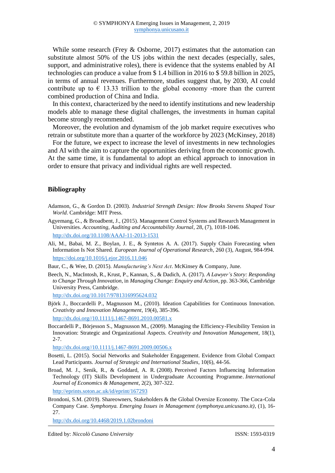While some research (Frey & Osborne, 2017) estimates that the automation can substitute almost 50% of the US jobs within the next decades (especially, sales, support, and administrative roles), there is evidence that the systems enabled by AI technologies can produce a value from \$ 1.4 billion in 2016 to \$ 59.8 billion in 2025, in terms of annual revenues. Furthermore, studies suggest that, by 2030, AI could contribute up to  $\epsilon$  13.33 trillion to the global economy -more than the current combined production of China and India.

In this context, characterized by the need to identify institutions and new leadership models able to manage these digital challenges, the investments in human capital become strongly recommended.

Moreover, the evolution and dynamism of the job market require executives who retrain or substitute more than a quarter of the workforce by 2023 (McKinsey, 2018)

For the future, we expect to increase the level of investments in new technologies and AI with the aim to capture the opportunities deriving from the economic growth. At the same time, it is fundamental to adopt an ethical approach to innovation in order to ensure that privacy and individual rights are well respected.

#### **Bibliography**

- Adamson, G., & Gordon D. (2003). *Industrial Strength Design: How Brooks Stevens Shaped Your World*. Cambridge: MIT Press.
- [Agyemang, G.,](https://pure.royalholloway.ac.uk/portal/en/persons/gloria-agyemang(b2e0c74b-49e6-44e4-b243-d30e022f3900).html) & [Broadbent, J.,](https://pure.royalholloway.ac.uk/portal/en/persons/jane-broadbent(379d4f99-3db5-4a5e-8039-c8aea7dbd11d).html) (2015). [Management Control Systems and Research Management in](https://pure.royalholloway.ac.uk/portal/en/publications/management-control-systems-and-research-management-in-universities(db22af1d-c83c-420d-8862-ac4e2e64db9b).html)  [Universities.](https://pure.royalholloway.ac.uk/portal/en/publications/management-control-systems-and-research-management-in-universities(db22af1d-c83c-420d-8862-ac4e2e64db9b).html) *Accounting, Auditing and Accountability Journal*, 28, (7), 1018-1046. <http://dx.doi.org/10.1108/AAAJ-11-2013-1531>
- [Ali,](https://www.sciencedirect.com/science/article/pii/S0377221716309717#!) M., Babai, M. Z., Boylan, J. E., & Syntetos A. A. (2017). Supply Chain Forecasting when Information Is Not Shared. *[European Journal of Operational Research](https://www.sciencedirect.com/science/journal/03772217)*, [260 \(3](https://www.sciencedirect.com/science/journal/03772217/260/3)), August, 984-994. <https://doi.org/10.1016/j.ejor.2016.11.046>

Baur, C., & Wee, D. (2015). *Manufacturing's Next Act*. McKinsey & Company, June.

Beech, N., MacIntosh, R., Krust, P., Kannan, S., & Dadich, A. (2017). *A Lawyer's Story: Responding to Change Through Innovation*, in *Managing Change: Enquiry and Action*, pp. 363-366, Cambridge University Press, Cambridge.

http://dx.doi.org/10.1017/9781316995624.032

- Björk J., Boccardelli P., Magnusson M., (2010). Ideation Capabilities for Continuous Innovation. *Creativity and Innovation Management*, 19(4), 385-396. [http://dx.doi.org//10.1111/j.1467-8691.2010.00581.x](https://psycnet.apa.org/doi/10.1111/j.1467-8691.2010.00581.x)
- Boccardelli P., Börjesson S., Magnusson M., (2009). Managing the Efficiency-Flexibility Tension in
- Innovation: Strategic and Organizational Aspects. *Creativity and Innovation Management*, 18(1), 2-7.

http://dx.doi.org//10.1111/j.1467-8691.2009.00506.x

- Bosetti, L. (2015). Social Networks and Stakeholder Engagement. Evidence from Global Compact Lead Participants. *Journal of Strategic and International Studies*, 10(6), 44-56.
- Broad, M. J., Senik, R., & Goddard, A. R. (2008). [Perceived Factors Influencing Information](https://eprints.soton.ac.uk/cgi/eprintbypureuuid?uuid=97638430-3ee5-45b5-a05f-949abf80a9c5)  [Technology \(IT\) Skills Development in Undergraduate Accounting Programme.](https://eprints.soton.ac.uk/cgi/eprintbypureuuid?uuid=97638430-3ee5-45b5-a05f-949abf80a9c5) *International Journal of Economics & Management*, 2(2), 307-322. <http://eprints.soton.ac.uk/id/eprint/167293>

Brondoni, S.M. (2019). Shareowners, Stakeholders & the Global Oversize Economy. The Coca-Cola Company Case. *Symphonya. Emerging Issues in Management (symphonya.unicusano.it)*, (1), 16-  $27.$ 

http://dx.doi.org/10.4468/2019.1.02brondoni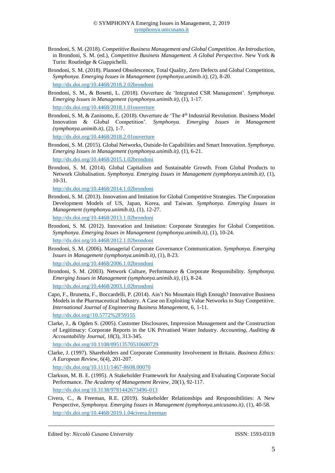- Brondoni, S. M. (2018). *Competitive Business Management and Global Competition. An Introduction*, in Brondoni, S. M. (ed.), *Competitive Business Management. A Global Perspective*. New York & Turin: Routledge & Giappichelli.
- Brondoni, S. M. (2018). Planned Obsolescence, Total Quality, Zero Defects and Global Competition, *Symphonya. Emerging Issues in Management (symphonya.unimib.it)*, (2), 8-20.

<http://dx.doi.org/10.4468/2018.2.02brondoni>

- Brondoni, S. M., & Bosetti, L. (2018). Ouverture de 'Integrated CSR Management'. *Symphonya. Emerging Issues in Management (symphonya.unimib.it)*, (1), 1-17. <http://dx.doi.org/10.4468/2018.1.01ouverture>
- Brondoni, S. M, & Zaninotto, E. (2018). Ouverture de 'The 4<sup>th</sup> Industrial Revolution. Business Model Innovation & Global Competition'. *Symphonya. Emerging Issues in Management (symphonya.unimib.it)*, (2), 1-7.

<http://dx.doi.org/10.4468/2018.2.01ouverture>

Brondoni, S. M. (2015). Global Networks, Outside-In Capabilities and Smart Innovation. *Symphonya. Emerging Issues in Management (symphonya.unimib.it)*, (1), 6-21.

<http://dx.doi.org/10.4468/2015.1.02brondoni>

Brondoni, S. M. (2014). Global Capitalism and Sustainable Growth. From Global Products to Network Globalisation. *Symphonya. Emerging Issues in Management (symphonya.unimib.it)*, (1), 10-31.

http://dx.doi.org/10.4468/2014.1.02brondoni

Brondoni, S. M. (2013). Innovation and Imitation for Global Competitive Strategies. The Corporation Development Models of US, Japan, Korea, and Taiwan. *Symphonya. Emerging Issues in Management (symphonya.unimib.it)*, (1), 12-27.

http://dx.doi.org/10.4468/2013.1.02brondoni

Brondoni, S. M. (2012). Innovation and Imitation: Corporate Strategies for Global Competition. *Symphonya. Emerging Issues in Management (symphonya.unimib.it)*, (1), 10-24.

<http://dx.doi.org/10.4468/2012.1.02brondoni>

Brondoni, S. M. (2006). Managerial Corporate Governance Communication. *Symphonya. Emerging Issues in Management (symphonya.unimib.it)*, (1), 8-23.

http://dx.doi.org/10.4468/2006.1.02brondoni

Brondoni, S. M. (2003). Network Culture, Performance & Corporate Responsibility. *Symphonya. Emerging Issues in Management (symphonya.unimib.it)*, (1), 8-24.

<http://dx.doi.org/10.4468/2003.1.02brondoni>

Capo, F., Brunetta, F., Boccardelli, P. (2014). Ain't No Mountain High Enough? Innovative Business Models in the Pharmaceutical Industry. A Case on Exploiting Value Networks to Stay Competitive. *International Journal of Engineering Business Management*, 6, 1-11. http://dx.doi.org//10.5772%2F59155

Clarke, J., & Ogden S. (2005). Customer Disclosures, Impression Management and the Construction of Legitimacy: Corporate Reports in the UK Privatised Water Industry. *Accounting, Auditing & Accountability Journal*, 18(3), 313-345.

<http://dx.doi.org/10.1108/09513570510600729>

Clarke, J. (1997). Shareholders and Corporate Community Involvement in Britain. *Business Ethics: A European Review*, 6(4), 201-207.

http://dx.doi.org/10.1111/1467-8608.00070

Clarkson, M. B. E. (1995). A Stakeholder Framework for Analysing and Evaluating Corporate Social Performance. *The Academy of Management Review*, 20(1), 92-117.

<http://dx.doi.org/10.3138/9781442673496-013>

Civera, C., & Freeman, R.E. (2019). Stakeholder Relationships and Responsibilities: A New Perspective, *Symphonya. Emerging Issues in Management (symphonya.unicusano.it)*, (1), 40-58. http://dx.doi.org/10.4468/2019.1.04civera.freeman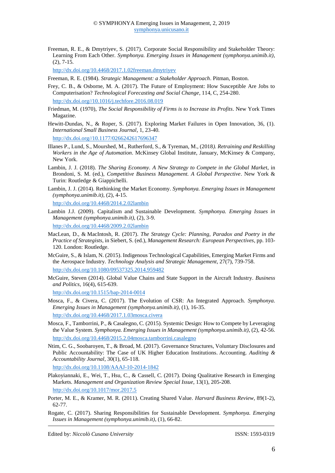Freeman, R. E., & Dmytriyev, S. (2017). Corporate Social Responsibility and Stakeholder Theory: Learning From Each Other. *Symphonya. Emerging Issues in Management (symphonya.unimib.it)*, (2), 7-15.

<http://dx.doi.org/10.4468/2017.1.02freeman.dmytriyev>

Freeman, R. E. (1984). *Strategic Management: a Stakeholder Approach*. Pitman, Boston.

- Frey, C. B., & Osborne, M. A. (2017). The Future of Employment: How Susceptible Are Jobs to Computerisation? *Technological Forecasting and Social Change*, 114, C, 254-280. http://dx.doi.org//10.1016/j.techfore.2016.08.019
- Friedman, M. (1970), *The Social Responsibility of Firms is to Increase its Profits*. New York Times Magazine.
- Hewitt-Dundas, N., & Roper, S. (2017). Exploring Market Failures in Open Innovation, 36, (1). *International Small Business Journal*, 1, 23-40. [http://dx.doi.org//10.1177/0266242617696347](http://doi.org/10.1177/0266242617696347)
- Illanes P., Lund, S., Mourshed, M., Rutherford, S., & Tyreman, M., (2018*). Retraining and Reskilling Workers in the Age of Automation*. McKinsey Global Institute, January, McKinsey & Company, New York.
- Lambin, J. J. (2018). *The Sharing Economy. A New Strategy to Compete in the Global Marke*t, in Brondoni, S. M. (ed.), *Competitive Business Management. A Global Perspective*. New York & Turin: Routledge & Giappichelli.
- Lambin, J. J. (2014). Rethinking the Market Economy. *Symphonya. Emerging Issues in Management (symphonya.unimib.it)*, (2), 4-15.

<http://dx.doi.org/10.4468/2014.2.02lambin>

- Lambin J.J. (2009). Capitalism and Sustainable Development. *Symphonya. Emerging Issues in Management (symphonya.unimib.it)*, (2), 3-9.
- http://dx.doi.org/10.4468/2009.2.02lambin
- MacLean, D., & [MacIntosh, R.](https://researchportal.hw.ac.uk/en/persons/robert-macintosh) (2017). *[The Strategy Cycle: Planning, Paradox and Poetry in the](https://researchportal.hw.ac.uk/en/publications/the-strategy-cycle-planning-paradox-and-poetry-in-the-practice-of)  [Practice of Strategists](https://researchportal.hw.ac.uk/en/publications/the-strategy-cycle-planning-paradox-and-poetry-in-the-practice-of)*, in Siebert, S. (ed.), *Management Research: European Perspectives*, pp. 103- 120. London: [Routledge.](https://researchportal.hw.ac.uk/en/persons/robert-macintosh/publications/)
- McGuire, S., & Islam, N. (2015). Indigenous Technological Capabilities, Emerging Market Firms and the Aerospace Industry. *Technology Analysis and Strategic Management*, 27(7), 739-758. http://dx.doi.org/10.1080/09537325.2014.959482
- McGuire, Steven (2014). Global Value Chains and State Support in the Aircraft Industry. *Business and Politics*, 16(4), 615-639.

http://dx.doi.org/10.1515/bap-2014-0014

- Mosca, F., & Civera, C. (2017). The Evolution of CSR: An Integrated Approach. *Symphonya. Emerging Issues in Management (symphonya.unimib.it)*, (1), 16-35. <http://dx.doi.org/10.4468/2017.1.03mosca.civera>
- Mosca, F., Tamborrini, P., & Casalegno, C. (2015). Systemic Design: How to Compete by Leveraging the Value System. *Symphonya. Emerging Issues in Management (symphonya.unimib.it)*, (2), 42-56. <http://dx.doi.org/10.4468/2015.2.04mosca.tamborrini.casalegno>
- Ntim, C. G., Soobaroyen, T., & Broad, M. (2017). [Governance Structures, Voluntary Disclosures and](https://eprints.soton.ac.uk/cgi/eprintbypureuuid?uuid=e1c063f3-8876-4172-8fed-2d409038f8cd)  Public Accountability: The [Case of UK Higher Education Institutions.](https://eprints.soton.ac.uk/cgi/eprintbypureuuid?uuid=e1c063f3-8876-4172-8fed-2d409038f8cd) Accounting. *Auditing & Accountability Journal*, 30(1), 65-118.

http://dx.doi.org[/10.1108/AAAJ-10-2014-1842](https://doi.org/10.1108/AAAJ-10-2014-1842)

[Plakoyiannaki,](https://www.cambridge.org/core/search?filters%5BauthorTerms%5D=Emmanuella%20Plakoyiannaki&eventCode=SE-AU) E., [Wei,](https://www.cambridge.org/core/search?filters%5BauthorTerms%5D=Tian%20Wei&eventCode=SE-AU) T., [Hsu,](https://www.cambridge.org/core/search?filters%5BauthorTerms%5D=Carol%20Hsu&eventCode=SE-AU) C., & [Cassell,](https://www.cambridge.org/core/search?filters%5BauthorTerms%5D=Catherine%20Cassell&eventCode=SE-AU) C. (2017). Doing Qualitative Research in Emerging Markets. *Management and Organization Review Special Issue*, [13](https://www.cambridge.org/core/journals/management-and-organization-review/volume/1AFE7165DD8EC249B30C086416CD4D24)[\(1\)](https://www.cambridge.org/core/journals/management-and-organization-review/issue/2D72CFDB6ABF685B71726AA31C6274B1), 205-208. <http://dx.doi.org/10.1017/mor.2017.5>

Porter, M. E., & Kramer, M. R. (2011). Creating Shared Value. *Harvard Business Review*, 89(1-2), 62-77.

Rogate, C. (2017). Sharing Responsibilities for Sustainable Development. *Symphonya. Emerging Issues in Management (symphonya.unimib.it)*, (1), 66-82.